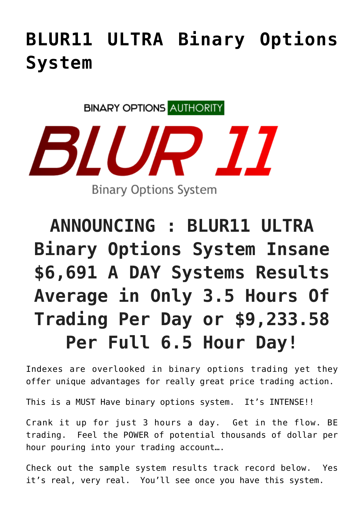# **[BLUR11 ULTRA Binary Options](https://binaryoptionsauthority.com/blur11-ultra-binary-options-system/) [System](https://binaryoptionsauthority.com/blur11-ultra-binary-options-system/)**

**BINARY OPTIONS AUTHORITY** 



**Binary Options System** 

# **ANNOUNCING : BLUR11 ULTRA Binary Options System Insane \$6,691 A DAY Systems Results Average in Only 3.5 Hours Of Trading Per Day or \$9,233.58 Per Full 6.5 Hour Day!**

Indexes are overlooked in binary options trading yet they offer unique advantages for really great price trading action.

This is a MUST Have binary options system. It's INTENSE!!

Crank it up for just 3 hours a day. Get in the flow. BE trading. Feel the POWER of potential thousands of dollar per hour pouring into your trading account….

Check out the sample system results track record below. Yes it's real, very real. You'll see once you have this system.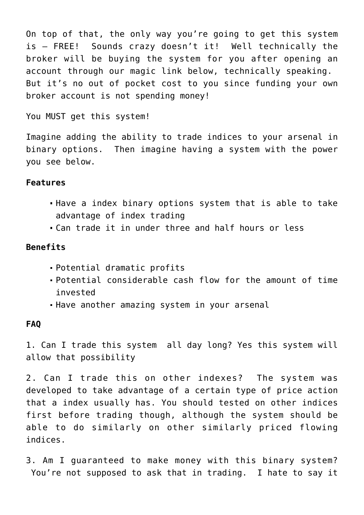On top of that, the only way you're going to get this system is – FREE! Sounds crazy doesn't it! Well technically the broker will be buying the system for you after opening an account through our magic link below, technically speaking. But it's no out of pocket cost to you since funding your own broker account is not spending money!

You MUST get this system!

Imagine adding the ability to trade indices to your arsenal in binary options. Then imagine having a system with the power you see below.

### **Features**

- Have a index binary options system that is able to take advantage of index trading
- Can trade it in under three and half hours or less

## **Benefits**

- Potential dramatic profits
- Potential considerable cash flow for the amount of time invested
- Have another amazing system in your arsenal

#### **FAQ**

1. Can I trade this system all day long? Yes this system will allow that possibility

2. Can I trade this on other indexes? The system was developed to take advantage of a certain type of price action that a index usually has. You should tested on other indices first before trading though, although the system should be able to do similarly on other similarly priced flowing indices.

3. Am I guaranteed to make money with this binary system? You're not supposed to ask that in trading. I hate to say it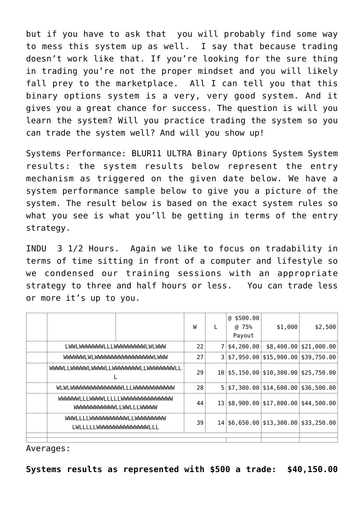but if you have to ask that you will probably find some way to mess this system up as well. I say that because trading doesn't work like that. If you're looking for the sure thing in trading you're not the proper mindset and you will likely fall prey to the marketplace. All I can tell you that this binary options system is a very, very good system. And it gives you a great chance for success. The question is will you learn the system? Will you practice trading the system so you can trade the system well? And will you show up!

Systems Performance: BLUR11 ULTRA Binary Options System System results: the system results below represent the entry mechanism as triggered on the given date below. We have a system performance sample below to give you a picture of the system. The result below is based on the exact system rules so what you see is what you'll be getting in terms of the entry strategy.

INDU 3 1/2 Hours. Again we like to focus on tradability in terms of time sitting in front of a computer and lifestyle so we condensed our training sessions with an appropriate strategy to three and half hours or less. You can trade less or more it's up to you.

|                                       |  | W  |                 | $@$ \$500.00<br>@75%<br>Payout | \$1,000                                       | \$2,500                      |
|---------------------------------------|--|----|-----------------|--------------------------------|-----------------------------------------------|------------------------------|
| I MMI MMMMMMMI I I MMMMMMMMMI WI MMW  |  | 22 | 7 <sup>1</sup>  | \$4,200.00                     |                                               | $$8,400.00 \times 21,000.00$ |
| MWWWW IWWWWWWWWWWWWWW IWW             |  | 27 | 3 <sup>1</sup>  | \$7,950.00                     | $$15,900.00$   \$39,750.00                    |                              |
| WWWWLLWWWWLWWWWLLWWWWWWWLLWWWWWWWLL   |  | 29 |                 | $10 $ \$5, 150.00              | $$10,300.00$ $$25,750.00$                     |                              |
| MI WI WWWWWWWWWWWWWWWI I I WWWWWWWWWW |  | 28 |                 | $5 $ \$7,300,00                | $$14,600.00$   \$36,500.00                    |                              |
| <b>WWWWWWWWWWLLWWLLLWWWWW</b>         |  | 44 | 13 <sup>1</sup> | \$8,900.00                     | $$17,800.00$ $$44,500.00$                     |                              |
| LWLLLLLWWWWWWWWWWWWWLLL               |  | 39 | 14 <sup>1</sup> |                                | $$6,650.00 \times 13,300.00 \times 33,250.00$ |                              |
|                                       |  |    |                 |                                |                                               |                              |

Averages:

**Systems results as represented with \$500 a trade: \$40,150.00**